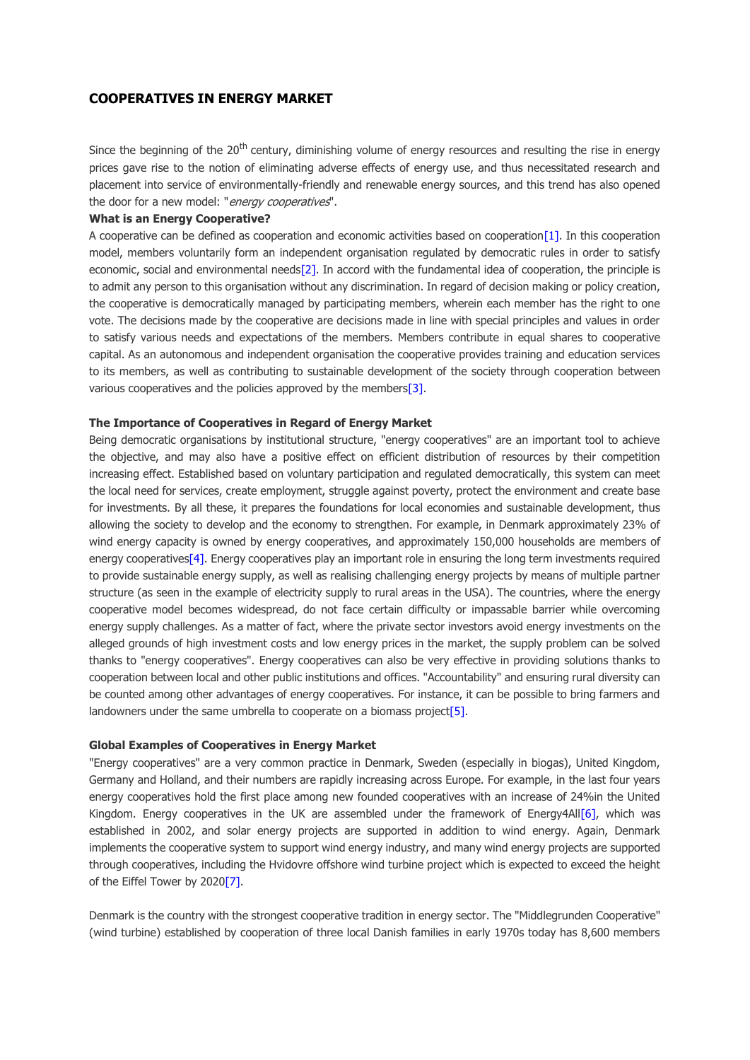# **COOPERATIVES IN ENERGY MARKET**

Since the beginning of the 20<sup>th</sup> century, diminishing volume of energy resources and resulting the rise in energy prices gave rise to the notion of eliminating adverse effects of energy use, and thus necessitated research and placement into service of environmentally-friendly and renewable energy sources, and this trend has also opened the door for a new model: "*energy cooperatives*".

#### **What is an Energy Cooperative?**

A cooperative can be defined as cooperation and economic activities based on cooperatio[n\[1\].](file:///C:/Users/dogerli/AppData/Local/Microsoft/Windows/Temporary%20Internet%20Files/Content.Outlook/8KGWQTFM/Cooperatives%20in%20Energy%20Market.docx%23_ftn1) In this cooperation model, members voluntarily form an independent organisation regulated by democratic rules in order to satisfy economic, social and environmental need[s\[2\].](file:///C:/Users/dogerli/AppData/Local/Microsoft/Windows/Temporary%20Internet%20Files/Content.Outlook/8KGWQTFM/Cooperatives%20in%20Energy%20Market.docx%23_ftn2) In accord with the fundamental idea of cooperation, the principle is to admit any person to this organisation without any discrimination. In regard of decision making or policy creation, the cooperative is democratically managed by participating members, wherein each member has the right to one vote. The decisions made by the cooperative are decisions made in line with special principles and values in order to satisfy various needs and expectations of the members. Members contribute in equal shares to cooperative capital. As an autonomous and independent organisation the cooperative provides training and education services to its members, as well as contributing to sustainable development of the society through cooperation between various cooperatives and the policies approved by the members<sup>[3]</sup>.

## **The Importance of Cooperatives in Regard of Energy Market**

Being democratic organisations by institutional structure, "energy cooperatives" are an important tool to achieve the objective, and may also have a positive effect on efficient distribution of resources by their competition increasing effect. Established based on voluntary participation and regulated democratically, this system can meet the local need for services, create employment, struggle against poverty, protect the environment and create base for investments. By all these, it prepares the foundations for local economies and sustainable development, thus allowing the society to develop and the economy to strengthen. For example, in Denmark approximately 23% of wind energy capacity is owned by energy cooperatives, and approximately 150,000 households are members of energy cooperative[s\[4\].](file:///C:/Users/dogerli/AppData/Local/Microsoft/Windows/Temporary%20Internet%20Files/Content.Outlook/8KGWQTFM/Cooperatives%20in%20Energy%20Market.docx%23_ftn4) Energy cooperatives play an important role in ensuring the long term investments required to provide sustainable energy supply, as well as realising challenging energy projects by means of multiple partner structure (as seen in the example of electricity supply to rural areas in the USA). The countries, where the energy cooperative model becomes widespread, do not face certain difficulty or impassable barrier while overcoming energy supply challenges. As a matter of fact, where the private sector investors avoid energy investments on the alleged grounds of high investment costs and low energy prices in the market, the supply problem can be solved thanks to "energy cooperatives". Energy cooperatives can also be very effective in providing solutions thanks to cooperation between local and other public institutions and offices. "Accountability" and ensuring rural diversity can be counted among other advantages of energy cooperatives. For instance, it can be possible to bring farmers and landowners under the same umbrella to cooperate on a biomass project<sup>[5]</sup>.

#### **Global Examples of Cooperatives in Energy Market**

"Energy cooperatives" are a very common practice in Denmark, Sweden (especially in biogas), United Kingdom, Germany and Holland, and their numbers are rapidly increasing across Europe. For example, in the last four years energy cooperatives hold the first place among new founded cooperatives with an increase of 24%in the United Kingdom. Energy cooperatives in the UK are assembled under the framework of Energy 4Al[l\[6\],](file:///C:/Users/dogerli/AppData/Local/Microsoft/Windows/Temporary%20Internet%20Files/Content.Outlook/8KGWQTFM/Cooperatives%20in%20Energy%20Market.docx%23_ftn6) which was established in 2002, and solar energy projects are supported in addition to wind energy. Again, Denmark implements the cooperative system to support wind energy industry, and many wind energy projects are supported through cooperatives, including the Hvidovre offshore wind turbine project which is expected to exceed the height of the Eiffel Tower by 202[0\[7\].](file:///C:/Users/dogerli/AppData/Local/Microsoft/Windows/Temporary%20Internet%20Files/Content.Outlook/8KGWQTFM/Cooperatives%20in%20Energy%20Market.docx%23_ftn7)

Denmark is the country with the strongest cooperative tradition in energy sector. The "Middlegrunden Cooperative" (wind turbine) established by cooperation of three local Danish families in early 1970s today has 8,600 members